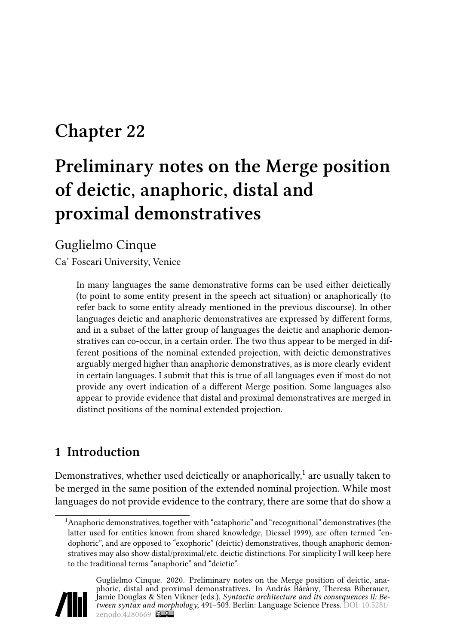## **Chapter 22**

# **Preliminary notes on the Merge position of deictic, anaphoric, distal and proximal demonstratives**

#### Guglielmo Cinque

Ca' Foscari University, Venice

In many languages the same demonstrative forms can be used either deictically (to point to some entity present in the speech act situation) or anaphorically (to refer back to some entity already mentioned in the previous discourse). In other languages deictic and anaphoric demonstratives are expressed by different forms, and in a subset of the latter group of languages the deictic and anaphoric demonstratives can co-occur, in a certain order. The two thus appear to be merged in different positions of the nominal extended projection, with deictic demonstratives arguably merged higher than anaphoric demonstratives, as is more clearly evident in certain languages. I submit that this is true of all languages even if most do not provide any overt indication of a different Merge position. Some languages also appear to provide evidence that distal and proximal demonstratives are merged in distinct positions of the nominal extended projection.

### **1 Introduction**

Demonstratives, whether used deictically or anaphorically, $^{\rm 1}$  are usually taken to be merged in the same position of the extended nominal projection. While most languages do not provide evidence to the contrary, there are some that do show a

<sup>&</sup>lt;sup>1</sup>Anaphoric demonstratives, together with "cataphoric" and "recognitional" demonstratives (the latter used for entities known from shared knowledge, [Diessel 1999\)](#page-10-0), are often termed "endophoric", and are opposed to "exophoric" (deictic) demonstratives, though anaphoric demonstratives may also show distal/proximal/etc. deictic distinctions. For simplicity I will keep here to the traditional terms "anaphoric" and "deictic".



Guglielmo Cinque. 2020. Preliminary notes on the Merge position of deictic, anaphoric, distal and proximal demonstratives. In András Bárány, Theresa Biberauer, Jamie Douglas & Sten Vikner (eds.), *Syntactic architecture and its consequences II: Between syntax and morphology*, 491–503. Berlin: Language Science Press. DOI: [10.5281/](https://doi.org/10.5281/zenodo.4280669) [zenodo.4280669](https://doi.org/10.5281/zenodo.4280669) **@**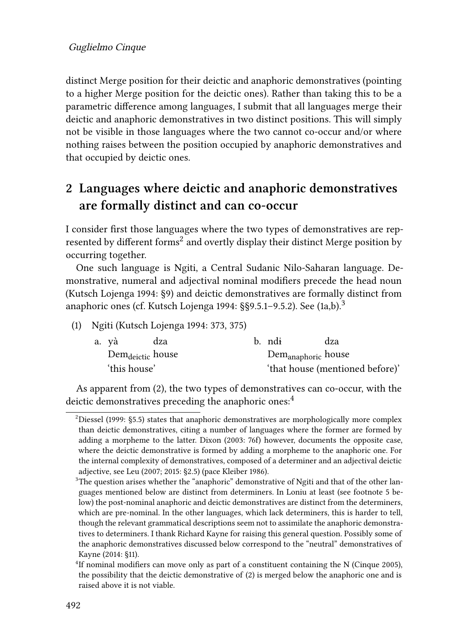distinct Merge position for their deictic and anaphoric demonstratives (pointing to a higher Merge position for the deictic ones). Rather than taking this to be a parametric difference among languages, I submit that all languages merge their deictic and anaphoric demonstratives in two distinct positions. This will simply not be visible in those languages where the two cannot co-occur and/or where nothing raises between the position occupied by anaphoric demonstratives and that occupied by deictic ones.

### **2 Languages where deictic and anaphoric demonstratives are formally distinct and can co-occur**

I consider first those languages where the two types of demonstratives are represented by different forms $^2$  and overtly display their distinct Merge position by occurring together.

One such language is Ngiti, a Central Sudanic Nilo-Saharan language. Demonstrative, numeral and adjectival nominal modifiers precede the head noun [\(Kutsch Lojenga 1994](#page-11-0): §9) and deictic demonstratives are formally distinct from anaphoric ones (cf. [Kutsch Lojenga 1994:](#page-11-0) $\S$ §9.5.1–9.5.2). See ([1a](#page-1-0),b).<sup>3</sup>

<span id="page-1-0"></span>(1) Ngiti [\(Kutsch Lojenga 1994:](#page-11-0) 373, 375)

| a. yà                        | dza | b. ndi                          | dza |
|------------------------------|-----|---------------------------------|-----|
| Dem <sub>deictic</sub> house |     | Dem <sub>anaphoric</sub> house  |     |
| 'this house'                 |     | 'that house (mentioned before)' |     |

As apparent from([2](#page-2-0)), the two types of demonstratives can co-occur, with the deictic demonstratives preceding the anaphoric ones:<sup>4</sup>

 $2$ [Diessel \(1999](#page-10-0): §5.5) states that anaphoric demonstratives are morphologically more complex than deictic demonstratives, citing a number of languages where the former are formed by adding a morpheme to the latter. [Dixon \(2003:](#page-10-1) 76f) however, documents the opposite case, where the deictic demonstrative is formed by adding a morpheme to the anaphoric one. For the internal complexity of demonstratives, composed of a determiner and an adjectival deictic adjective, see [Leu \(2007;](#page-11-1) [2015](#page-11-2): §2.5) (pace [Kleiber 1986](#page-11-3)).

 $3$ The question arises whether the "anaphoric" demonstrative of Ngiti and that of the other languages mentioned below are distinct from determiners. In Loniu at least (see footnote [5](#page-2-1) below) the post-nominal anaphoric and deictic demonstratives are distinct from the determiners, which are pre-nominal. In the other languages, which lack determiners, this is harder to tell, though the relevant grammatical descriptions seem not to assimilate the anaphoric demonstratives to determiners. I thank Richard Kayne for raising this general question. Possibly some of the anaphoric demonstratives discussed below correspond to the "neutral" demonstratives of [Kayne \(2014](#page-11-4): §11).

<sup>&</sup>lt;sup>4</sup>Ifnominal modifiers can move only as part of a constituent containing the N ([Cinque 2005](#page-10-2)), the possibility that the deictic demonstrative of ([2](#page-2-0)) is merged below the anaphoric one and is raised above it is not viable.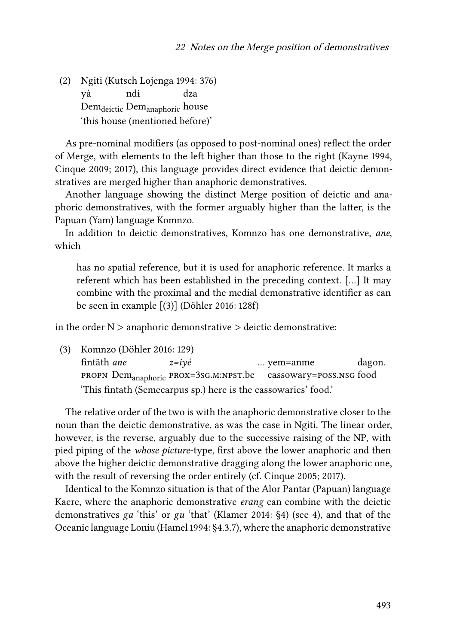<span id="page-2-0"></span>(2) Ngiti([Kutsch Lojenga 1994](#page-11-0): 376) yà Dem<sub>deictic</sub> Dem<sub>anaphoric</sub> house ndɨ dza 'this house (mentioned before)'

As pre-nominal modifiers (as opposed to post-nominal ones) reflect the order of Merge, with elements to the left higher than those to the right [\(Kayne 1994](#page-11-5), [Cinque 2009;](#page-10-3) [2017](#page-10-4)), this language provides direct evidence that deictic demonstratives are merged higher than anaphoric demonstratives.

Another language showing the distinct Merge position of deictic and anaphoric demonstratives, with the former arguably higher than the latter, is the Papuan (Yam) language Komnzo.

In addition to deictic demonstratives, Komnzo has one demonstrative, *ane*, which

has no spatial reference, but it is used for anaphoric reference. It marks a referent which has been established in the preceding context. […] It may combine with the proximal and the medial demonstrative identifier as can be seen in example [(3)] [\(Döhler 2016:](#page-10-5) 128f)

in the order  $N >$  anaphoric demonstrative  $>$  deictic demonstrative:

<span id="page-2-1"></span>(3) Komnzo [\(Döhler 2016:](#page-10-5) 129) fintäth *ane* PROPN  ${\rm Dem}_{\rm anaphoric}$  PROX=3sG.M:NPST.be cassowary=poss.nsg food *z=iyé* … yem=anme dagon. 'This fintath (Semecarpus sp.) here is the cassowaries' food.'

The relative order of the two is with the anaphoric demonstrative closer to the noun than the deictic demonstrative, as was the case in Ngiti. The linear order, however, is the reverse, arguably due to the successive raising of the NP, with pied piping of the *whose picture*-type, first above the lower anaphoric and then above the higher deictic demonstrative dragging along the lower anaphoric one, with the result of reversing the order entirely (cf. [Cinque 2005](#page-10-2); [2017](#page-10-4)).

Identical to the Komnzo situation is that of the Alor Pantar (Papuan) language Kaere, where the anaphoric demonstrative *erang* can combine with the deictic demonstratives *ga* 'this' or *gu* 'that'([Klamer 2014:](#page-11-6) §4) (see [4\)](#page-3-0), and that of the Oceanic language Loniu([Hamel 1994:](#page-11-7) §4.3.7), where the anaphoric demonstrative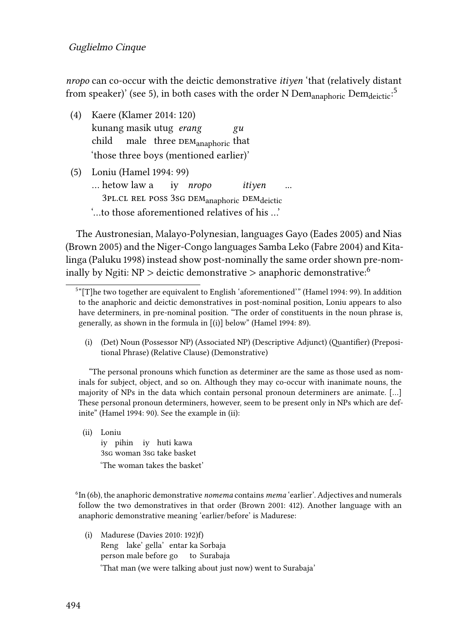*nropo* can co-occur with the deictic demonstrative *itiyen* 'that (relatively distant from speaker)' (see [5\)](#page-3-1), in both cases with the order N Dem<sub>anaphoric</sub> Dem<sub>deictic</sub>.<sup>5</sup>

- <span id="page-3-0"></span>(4) Kaere [\(Klamer 2014](#page-11-6): 120) kunang masik utug *erang* child male  $\,$  three  $_{\rm DEM_{anaphoric}}$  that *gu* 'those three boys (mentioned earlier)'
- <span id="page-3-1"></span>(5) Loniu([Hamel 1994](#page-11-7): 99) … hetow law a 3PL.CL REL POSS 3SG DEM<sub>anaphoric</sub> DEM<sub>deictic</sub> iy *nropo itiyen* '…to those aforementioned relatives of his …'

The Austronesian, Malayo-Polynesian, languages Gayo [\(Eades 2005](#page-10-6)) and Nias [\(Brown 2005](#page-10-7)) and the Niger-Congo languages Samba Leko([Fabre 2004\)](#page-10-8) and Kitalinga [\(Paluku 1998](#page-11-8)) instead show post-nominally the same order shown pre-nominally by Ngiti:  $NP >$  deictic demonstrative  $>$  anaphoric demonstrative:<sup>6</sup>

(i) (Det) Noun (Possessor NP) (Associated NP) (Descriptive Adjunct) (Quantifier) (Prepositional Phrase) (Relative Clause) (Demonstrative)

"The personal pronouns which function as determiner are the same as those used as nominals for subject, object, and so on. Although they may co-occur with inanimate nouns, the majority of NPs in the data which contain personal pronoun determiners are animate. […] These personal pronoun determiners, however, seem to be present only in NPs which are definite"([Hamel 1994:](#page-11-7) 90). See the example in (ii):

(ii) Loniu iy pihin iy huti kawa 3sg woman 3sg take basket 'The woman takes the basket'

6 In([6b](#page-4-0)), the anaphoric demonstrative *nomema* contains *mema* 'earlier'. Adjectives and numerals follow the two demonstratives in that order([Brown 2001](#page-10-9): 412). Another language with an anaphoric demonstrative meaning 'earlier/before' is Madurese:

(i) Madurese([Davies 2010](#page-10-10): 192)f) Reng lake' gella' entar ka Sorbaja person male before go to Surabaja 'That man (we were talking about just now) went to Surabaja'

<sup>5</sup> "[T]he two together are equivalent to English 'aforementioned'" [\(Hamel 1994](#page-11-7): 99). In addition to the anaphoric and deictic demonstratives in post-nominal position, Loniu appears to also have determiners, in pre-nominal position. "The order of constituents in the noun phrase is, generally, as shown in the formula in [(i)] below" [\(Hamel 1994](#page-11-7): 89).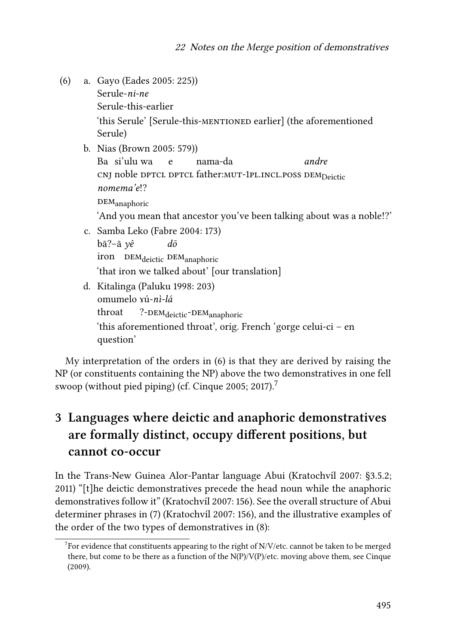<span id="page-4-1"></span><span id="page-4-0"></span>(6) a. Gayo [\(Eades 2005](#page-10-6): 225)) Serule-*ni-ne* Serule-this-earlier 'this Serule' [Serule-this-mentioned earlier] (the aforementioned Serule) b. Nias([Brown 2005:](#page-10-7) 579)) Ba si'ulu wa cnj noble dptcl dptcl father:<mark>mut-1pl.incl.poss dem<sub>Deictic</sub></mark> e nama-da *andre nomema'e*!?  $DEM$ <sub>anaphoric</sub> 'And you mean that ancestor you've been talking about was a noble!?' c. Samba Leko [\(Fabre 2004:](#page-10-8) 173) bā?–ā *yê* iron DEM<sub>deictic</sub> DEM<sub>anaphoric</sub> *dō* 'that iron we talked about' [our translation] d. Kitalinga [\(Paluku 1998](#page-11-8): 203) omumelo ɤú-*nì-lá* throat ?-DEM<sub>deictic</sub>-DEM<sub>anaphoric</sub> 'this aforementioned throat', orig. French 'gorge celui-ci – en question'

My interpretation of the orders in [\(6\)](#page-4-1) is that they are derived by raising the NP (or constituents containing the NP) above the two demonstratives in one fell swoop (without pied piping) (cf. [Cinque 2005](#page-10-2); [2017\)](#page-10-4).<sup>7</sup>

## **3 Languages where deictic and anaphoric demonstratives are formally distinct, occupy different positions, but cannot co-occur**

In the Trans-New Guinea Alor-Pantar language Abui([Kratochvíl 2007](#page-11-9): §3.5.2; [2011\)](#page-11-10) "[t]he deictic demonstratives precede the head noun while the anaphoric demonstratives follow it"([Kratochvíl 2007](#page-11-9): 156). See the overall structure of Abui determiner phrases in [\(7](#page-5-0)) [\(Kratochvíl 2007](#page-11-9): 156), and the illustrative examples of the order of the two types of demonstratives in([8\)](#page-5-1):

 $7$  For evidence that constituents appearing to the right of N/V/etc. cannot be taken to be merged there, but come to be there as a function of the  $N(P)/V(P)/$ etc. moving above them, see [Cinque](#page-10-3) [\(2009\).](#page-10-3)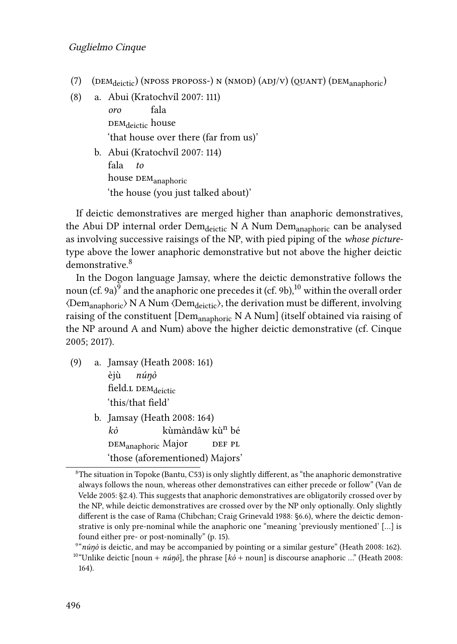- <span id="page-5-0"></span>(7) (DEM<sub>deictic</sub>) (NPOSS PROPOSS-) N (NMOD) (ADJ/V) (QUANT) (DEM<sub>anaphoric</sub>)
- <span id="page-5-1"></span>(8) a. Abui([Kratochvíl 2007:](#page-11-9) 111)

*oro* рєм<sub>deictic</sub> house fala 'that house over there (far from us)'

b. Abui([Kratochvíl 2007:](#page-11-9) 114) fala house  $\mathtt{DEM}_{\mathtt{anaphoric}}$ *to* 'the house (you just talked about)'

If deictic demonstratives are merged higher than anaphoric demonstratives, the Abui DP internal order Dem<sub>deictic</sub> N A Num Dem<sub>anaphoric</sub> can be analysed as involving successive raisings of the NP, with pied piping of the *whose picture*type above the lower anaphoric demonstrative but not above the higher deictic demonstrative.<sup>8</sup>

In the Dogon language Jamsay, where the deictic demonstrative follows the noun (cf. [9](#page-5-2)a) $^9$  and the anaphoric one precedes it (cf. 9b), $^{10}$  within the overall order  $\langle$ Dem<sub>anaphoric</sub> $\rangle$  N A Num  $\langle$ Dem<sub>deictic</sub> $\rangle$ , the derivation must be different, involving raising of the constituent [Dem<sub>anaphoric</sub> N A Num] (itself obtained via raising of the NP around A and Num) above the higher deictic demonstrative (cf. [Cinque](#page-10-2) [2005](#page-10-2); [2017\)](#page-10-4).

- <span id="page-5-2"></span>(9) a. Jamsay([Heath 2008:](#page-11-11) 161) èjù field.1 DEM<sub>deictic</sub> *núŋò* 'this/that field'
	- b. Jamsay([Heath 2008:](#page-11-11) 164) *kò* dem<sub>anaphoric</sub> Major kùmàndâw kù<sup>n</sup> bé def pl 'those (aforementioned) Majors'

 ${}^{8}$ The situation in Topoke (Bantu, C53) is only slightly different, as "the anaphoric demonstrative always follows the noun, whereas other demonstratives can either precede or follow"([Van de](#page-12-0) [Velde 2005:](#page-12-0) §2.4). This suggests that anaphoric demonstratives are obligatorily crossed over by the NP, while deictic demonstratives are crossed over by the NP only optionally. Only slightly different is the case of Rama (Chibchan; [Craig Grinevald 1988:](#page-10-11) §6.6), where the deictic demonstrative is only pre-nominal while the anaphoric one "meaning 'previously mentioned' […] is found either pre- or post-nominally" (p. 15).

<sup>9</sup> "*núŋò* is deictic, and may be accompanied by pointing or a similar gesture"([Heath 2008:](#page-11-11) 162).

<sup>&</sup>lt;sup>10"</sup>Unlikedeictic [noun +  $n\omega$ <sup>3</sup>], the phrase [ $k\delta$  + noun] is discourse anaphoric ..." ([Heath 2008:](#page-11-11) 164).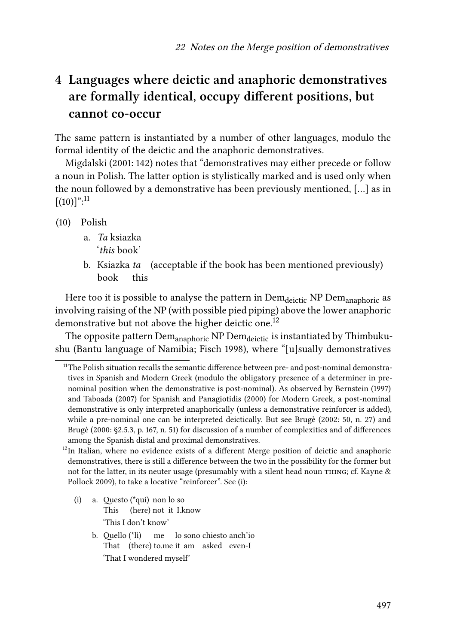### **4 Languages where deictic and anaphoric demonstratives are formally identical, occupy different positions, but cannot co-occur**

The same pattern is instantiated by a number of other languages, modulo the formal identity of the deictic and the anaphoric demonstratives.

[Migdalski \(2001](#page-11-12): 142) notes that "demonstratives may either precede or follow a noun in Polish. The latter option is stylistically marked and is used only when the noun followed by a demonstrative has been previously mentioned, […] as in  $[(10)]$ ":<sup>11</sup>

- (10) Polish
	- a. *Ta* ksiazka '*this* book'
	- b. Ksiazka *ta* (acceptable if the book has been mentioned previously) book this

Here too it is possible to analyse the pattern in Dem<sub>deictic</sub> NP Dem<sub>anaphoric</sub> as involving raising of the NP (with possible pied piping) above the lower anaphoric demonstrative but not above the higher deictic one.<sup>12</sup>

The opposite pattern Dem<sub>anaphoric</sub> NP Dem<sub>deictic</sub> is instantiated by Thimbukushu (Bantu language of Namibia; [Fisch 1998](#page-10-12)), where "[u]sually demonstratives

- (i) a. Questo (\*qui) non lo so This (here) not it I.know 'This I don't know'
	- b. Quello (\*lì) That (there) to.me it am asked even-I me lo sono chiesto anch'io 'That I wondered myself'

 $11$ The Polish situation recalls the semantic difference between pre- and post-nominal demonstratives in Spanish and Modern Greek (modulo the obligatory presence of a determiner in prenominal position when the demonstrative is post-nominal). As observed by [Bernstein \(1997\)](#page-9-0) and [Taboada \(2007\)](#page-12-1) for Spanish and [Panagiotidis \(2000\)](#page-11-13) for Modern Greek, a post-nominal demonstrative is only interpreted anaphorically (unless a demonstrative reinforcer is added), while a pre-nominal one can be interpreted deictically. But see [Brugè \(2002](#page-10-13): 50, n. 27) and [Brugè \(2000:](#page-10-14) §2.5.3, p. 167, n. 51) for discussion of a number of complexities and of differences among the Spanish distal and proximal demonstratives.

 $12$ In Italian, where no evidence exists of a different Merge position of deictic and anaphoric demonstratives, there is still a difference between the two in the possibility for the former but not for the latter, in its neuter usage (presumably with a silent head noun THING; cf. [Kayne &](#page-11-14) [Pollock 2009](#page-11-14)), to take a locative "reinforcer". See (i):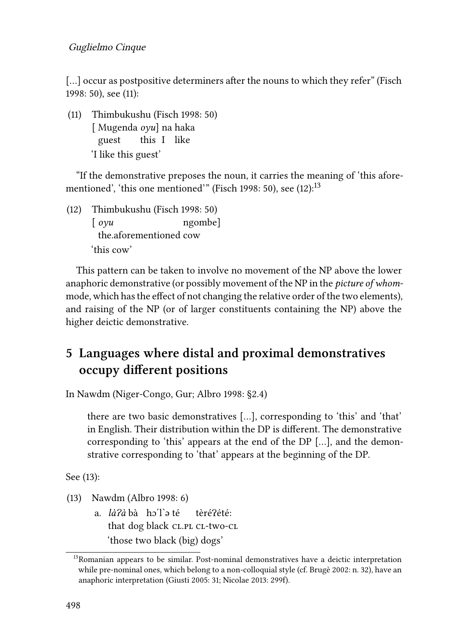[...]occur as postpositive determiners after the nouns to which they refer" ([Fisch](#page-10-12) [1998:](#page-10-12) 50), see([11\)](#page-7-0):

<span id="page-7-0"></span>(11) Thimbukushu [\(Fisch 1998](#page-10-12): 50) [ Mugenda *oyu*] na haka guest this I like 'I like this guest'

"If the demonstrative preposes the noun, it carries the meaning of 'this afore-mentioned', 'this one mentioned'" [\(Fisch 1998](#page-10-12): 50), see  $(12)$ :<sup>13</sup>

<span id="page-7-1"></span>(12) Thimbukushu [\(Fisch 1998](#page-10-12): 50) [ *oyu* the.aforementioned cow ngombe] 'this cow'

This pattern can be taken to involve no movement of the NP above the lower anaphoric demonstrative (or possibly movement of the NP in the *picture of whom*mode, which has the effect of not changing the relative order of the two elements), and raising of the NP (or of larger constituents containing the NP) above the higher deictic demonstrative.

### **5 Languages where distal and proximal demonstratives occupy different positions**

In Nawdm (Niger-Congo, Gur; [Albro 1998](#page-9-1): §2.4)

there are two basic demonstratives […], corresponding to 'this' and 'that' in English. Their distribution within the DP is different. The demonstrative corresponding to 'this' appears at the end of the DP […], and the demonstrative corresponding to 'that' appears at the beginning of the DP.

See([13\)](#page-7-2):

<span id="page-7-2"></span>(13) Nawdm([Albro 1998](#page-9-1): 6)

a. *làʔà* bà hɔ´l`ə té that dog black CL.PL CL-two-CL tèréɁété: 'those two black (big) dogs'

<sup>&</sup>lt;sup>13</sup>Romanian appears to be similar. Post-nominal demonstratives have a deictic interpretation while pre-nominal ones, which belong to a non-colloquial style (cf. [Brugè 2002:](#page-10-13) n. 32), have an anaphoric interpretation([Giusti 2005](#page-10-15): 31; [Nicolae 2013](#page-11-15): 299f).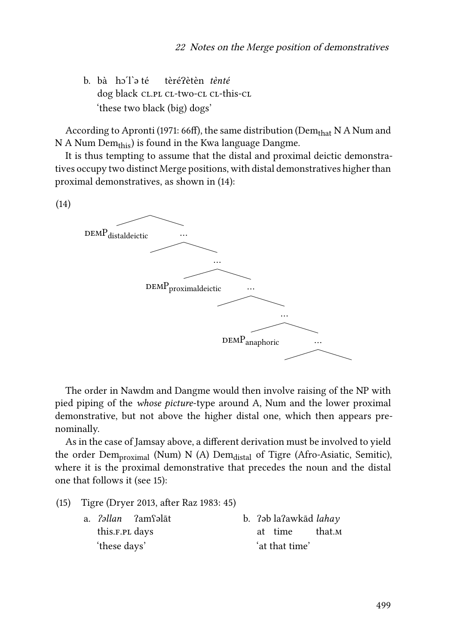b. bà hɔˊlˋə té dog black cl.pl cl-two-cl cl-this-cl tèréɁètèn *tènté* 'these two black (big) dogs'

According to [Apronti \(1971](#page-9-2): 66ff), the same distribution (Dem<sub>that</sub> N A Num and  $N A$  Num Dem<sub>this</sub>) is found in the Kwa language Dangme.

It is thus tempting to assume that the distal and proximal deictic demonstratives occupy two distinct Merge positions, with distal demonstratives higher than proximal demonstratives, as shown in([14](#page-8-0)):

<span id="page-8-0"></span>(14)



The order in Nawdm and Dangme would then involve raising of the NP with pied piping of the *whose picture*-type around A, Num and the lower proximal demonstrative, but not above the higher distal one, which then appears prenominally.

As in the case of Jamsay above, a different derivation must be involved to yield the order  $Dem_{proximal}$  (Num) N (A)  $Dem_{distal}$  of Tigre (Afro-Asiatic, Semitic), where it is the proximal demonstrative that precedes the noun and the distal one that follows it (see [15\)](#page-8-1):

<span id="page-8-1"></span>(15) Tigre [\(Dryer 2013,](#page-10-16) after [Raz 1983](#page-12-2): 45)

a. *ʔəllan* this.f.pl days ʔamʕəlāt 'these days' b. ʔəb laʔawkād *lahay* at time that.m 'at that time'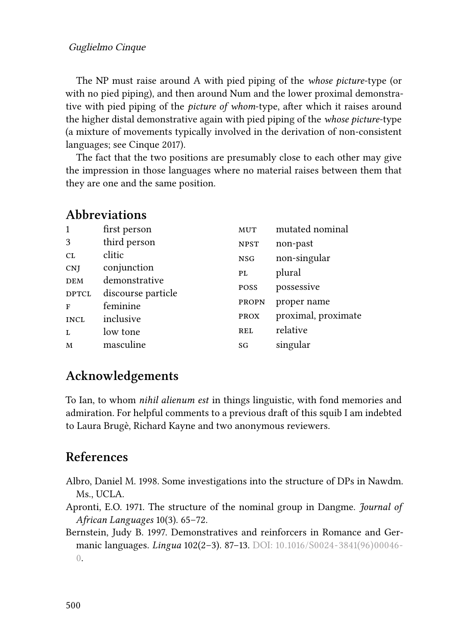The NP must raise around A with pied piping of the *whose picture*-type (or with no pied piping), and then around Num and the lower proximal demonstrative with pied piping of the *picture of whom*-type, after which it raises around the higher distal demonstrative again with pied piping of the *whose picture*-type (a mixture of movements typically involved in the derivation of non-consistent languages; see [Cinque 2017](#page-10-4)).

The fact that the two positions are presumably close to each other may give the impression in those languages where no material raises between them that they are one and the same position.

| 1            | first person       | <b>MUT</b>  | mutated nominal     |
|--------------|--------------------|-------------|---------------------|
| 3            | third person       | <b>NPST</b> | non-past            |
| CL           | clitic             | <b>NSG</b>  | non-singular        |
| <b>CNJ</b>   | conjunction        | PL.         | plural              |
| <b>DEM</b>   | demonstrative      | POSS        | possessive          |
| <b>DPTCL</b> | discourse particle |             |                     |
| F            | feminine           | PROPN       | proper name         |
| <b>INCL</b>  | inclusive          | <b>PROX</b> | proximal, proximate |
| L            | low tone           | <b>REL</b>  | relative            |
| M            | masculine          | SG          | singular            |

#### **Abbreviations**

#### **Acknowledgements**

To Ian, to whom *nihil alienum est* in things linguistic, with fond memories and admiration. For helpful comments to a previous draft of this squib I am indebted to Laura Brugè, Richard Kayne and two anonymous reviewers.

#### **References**

- <span id="page-9-1"></span>Albro, Daniel M. 1998. Some investigations into the structure of DPs in Nawdm. Ms., UCLA.
- <span id="page-9-2"></span>Apronti, E.O. 1971. The structure of the nominal group in Dangme. *Journal of African Languages* 10(3). 65–72.
- <span id="page-9-0"></span>Bernstein, Judy B. 1997. Demonstratives and reinforcers in Romance and Germanic languages. *Lingua* 102(2–3). 87–13. DOI: [10.1016/S0024-3841\(96\)00046-](https://doi.org/10.1016/S0024-3841(96)00046-0) [0.](https://doi.org/10.1016/S0024-3841(96)00046-0)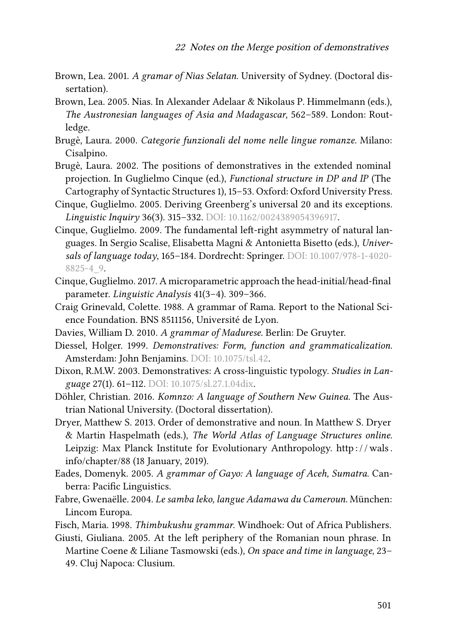- <span id="page-10-9"></span>Brown, Lea. 2001. *A gramar of Nias Selatan*. University of Sydney. (Doctoral dissertation).
- <span id="page-10-7"></span>Brown, Lea. 2005. Nias. In Alexander Adelaar & Nikolaus P. Himmelmann (eds.), *The Austronesian languages of Asia and Madagascar*, 562–589. London: Routledge.
- <span id="page-10-14"></span>Brugè, Laura. 2000. *Categorie funzionali del nome nelle lingue romanze*. Milano: Cisalpino.
- <span id="page-10-13"></span>Brugè, Laura. 2002. The positions of demonstratives in the extended nominal projection. In Guglielmo Cinque (ed.), *Functional structure in DP and IP* (The Cartography of Syntactic Structures 1), 15–53. Oxford: Oxford University Press.
- <span id="page-10-2"></span>Cinque, Guglielmo. 2005. Deriving Greenberg's universal 20 and its exceptions. *Linguistic Inquiry* 36(3). 315–332. DOI: [10.1162/0024389054396917](https://doi.org/10.1162/0024389054396917).
- <span id="page-10-3"></span>Cinque, Guglielmo. 2009. The fundamental left-right asymmetry of natural languages. In Sergio Scalise, Elisabetta Magni & Antonietta Bisetto (eds.), *Universals of language today*, 165–184. Dordrecht: Springer. DOI: [10.1007/978-1-4020-](https://doi.org/10.1007/978-1-4020-8825-4_9) [8825-4\\_9](https://doi.org/10.1007/978-1-4020-8825-4_9).
- <span id="page-10-4"></span>Cinque, Guglielmo. 2017. A microparametric approach the head-initial/head-final parameter. *Linguistic Analysis* 41(3–4). 309–366.
- <span id="page-10-11"></span>Craig Grinevald, Colette. 1988. A grammar of Rama. Report to the National Science Foundation. BNS 8511156, Université de Lyon.
- <span id="page-10-10"></span>Davies, William D. 2010. *A grammar of Madurese*. Berlin: De Gruyter.
- <span id="page-10-0"></span>Diessel, Holger. 1999. *Demonstratives: Form, function and grammaticalization*. Amsterdam: John Benjamins. DOI: [10.1075/tsl.42.](https://doi.org/10.1075/tsl.42)
- <span id="page-10-1"></span>Dixon, R.M.W. 2003. Demonstratives: A cross-linguistic typology. *Studies in Language* 27(1). 61–112. DOI: [10.1075/sl.27.1.04dix](https://doi.org/10.1075/sl.27.1.04dix).
- <span id="page-10-5"></span>Döhler, Christian. 2016. *Komnzo: A language of Southern New Guinea*. The Austrian National University. (Doctoral dissertation).
- <span id="page-10-16"></span>Dryer, Matthew S. 2013. Order of demonstrative and noun. In Matthew S. Dryer & Martin Haspelmath (eds.), *The World Atlas of Language Structures online*. Leipzig: Max Planck Institute for Evolutionary Anthropology. http://wals. [info/chapter/88](http://wals.info/chapter/88) (18 January, 2019).
- <span id="page-10-6"></span>Eades, Domenyk. 2005. *A grammar of Gayo: A language of Aceh, Sumatra*. Canberra: Pacific Linguistics.
- <span id="page-10-8"></span>Fabre, Gwenaëlle. 2004. *Le samba leko, langue Adamawa du Cameroun*. München: Lincom Europa.
- <span id="page-10-12"></span>Fisch, Maria. 1998. *Thimbukushu grammar*. Windhoek: Out of Africa Publishers.
- <span id="page-10-15"></span>Giusti, Giuliana. 2005. At the left periphery of the Romanian noun phrase. In Martine Coene & Liliane Tasmowski (eds.), *On space and time in language*, 23– 49. Cluj Napoca: Clusium.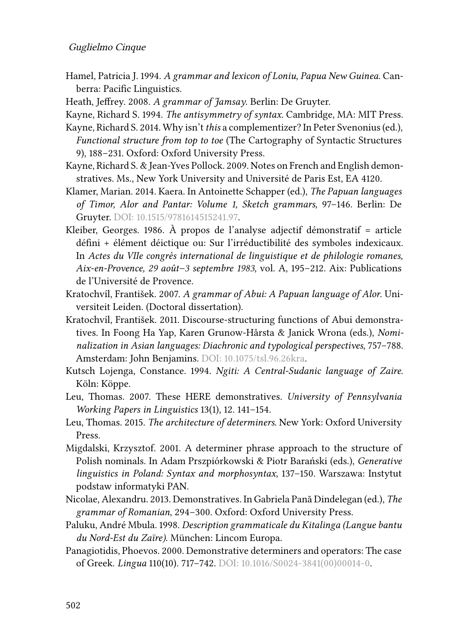#### Guglielmo Cinque

- <span id="page-11-7"></span>Hamel, Patricia J. 1994. *A grammar and lexicon of Loniu, Papua New Guinea*. Canberra: Pacific Linguistics.
- <span id="page-11-11"></span>Heath, Jeffrey. 2008. *A grammar of Jamsay*. Berlin: De Gruyter.
- <span id="page-11-5"></span>Kayne, Richard S. 1994. *The antisymmetry of syntax*. Cambridge, MA: MIT Press.
- <span id="page-11-4"></span>Kayne, Richard S. 2014. Why isn't *this* a complementizer? In Peter Svenonius (ed.), *Functional structure from top to toe* (The Cartography of Syntactic Structures 9), 188–231. Oxford: Oxford University Press.
- <span id="page-11-14"></span>Kayne, Richard S. & Jean-Yves Pollock. 2009. Notes on French and English demonstratives. Ms., New York University and Université de Paris Est, EA 4120.
- <span id="page-11-6"></span>Klamer, Marian. 2014. Kaera. In Antoinette Schapper (ed.), *The Papuan languages of Timor, Alor and Pantar: Volume 1, Sketch grammars*, 97–146. Berlin: De Gruyter. DOI: [10.1515/9781614515241.97.](https://doi.org/10.1515/9781614515241.97)
- <span id="page-11-3"></span>Kleiber, Georges. 1986. À propos de l'analyse adjectif démonstratif = article défini + élément déictique ou: Sur l'irréductibilité des symboles indexicaux. In *Actes du VIIe congrès international de linguistique et de philologie romanes, Aix-en-Provence, 29 août–3 septembre 1983*, vol. A, 195–212. Aix: Publications de l'Université de Provence.
- <span id="page-11-9"></span>Kratochvíl, František. 2007. *A grammar of Abui: A Papuan language of Alor*. Universiteit Leiden. (Doctoral dissertation).
- <span id="page-11-10"></span>Kratochvíl, František. 2011. Discourse-structuring functions of Abui demonstratives. In Foong Ha Yap, Karen Grunow-Hårsta & Janick Wrona (eds.), *Nominalization in Asian languages: Diachronic and typological perspectives*, 757–788. Amsterdam: John Benjamins. DOI: [10.1075/tsl.96.26kra](https://doi.org/10.1075/tsl.96.26kra).
- <span id="page-11-0"></span>Kutsch Lojenga, Constance. 1994. *Ngiti: A Central-Sudanic language of Zaire*. Köln: Köppe.
- <span id="page-11-1"></span>Leu, Thomas. 2007. These HERE demonstratives. *University of Pennsylvania Working Papers in Linguistics* 13(1), 12. 141–154.
- <span id="page-11-2"></span>Leu, Thomas. 2015. *The architecture of determiners*. New York: Oxford University Press.
- <span id="page-11-12"></span>Migdalski, Krzysztof. 2001. A determiner phrase approach to the structure of Polish nominals. In Adam Prszpiórkowski & Piotr Barański (eds.), *Generative linguistics in Poland: Syntax and morphosyntax*, 137–150. Warszawa: Instytut podstaw informatyki PAN.
- <span id="page-11-15"></span>Nicolae, Alexandru. 2013. Demonstratives. In Gabriela Pană Dindelegan (ed.), *The grammar of Romanian*, 294–300. Oxford: Oxford University Press.
- <span id="page-11-8"></span>Paluku, André Mbula. 1998. *Description grammaticale du Kitalinga (Langue bantu du Nord-Est du Zaïre)*. München: Lincom Europa.
- <span id="page-11-13"></span>Panagiotidis, Phoevos. 2000. Demonstrative determiners and operators: The case of Greek. *Lingua* 110(10). 717–742. DOI: [10.1016/S0024-3841\(00\)00014-0](https://doi.org/10.1016/S0024-3841(00)00014-0).